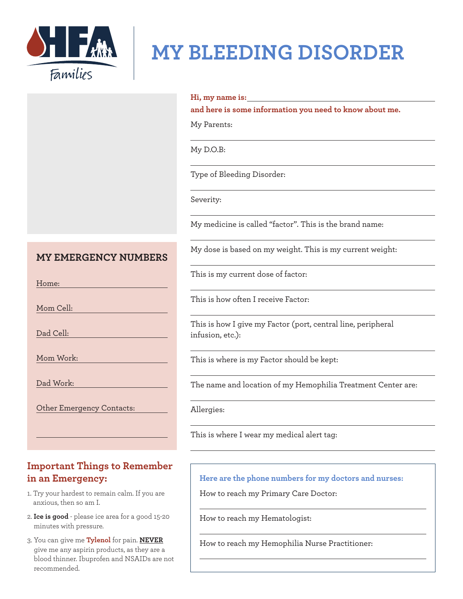

## **MY BLEEDING DISORDER**

#### **Hi, my name is:**

**and here is some information you need to know about me.**

My Parents:

My D.O.B:

Type of Bleeding Disorder:

Severity:

My medicine is called "factor". This is the brand name:

My dose is based on my weight. This is my current weight:

### **MY EMERGENCY NUMBERS**

Home:

Mom Cell:

Dad Cell:

Mom Work:

Dad Work:

Other Emergency Contacts:

### **Important Things to Remember in an Emergency:**

- 1. Try your hardest to remain calm. If you are anxious, then so am I.
- 2. **Ice is good** please ice area for a good 15-20 minutes with pressure.
- 3. You can give me **Tylenol** for pain. **NEVER** give me any aspirin products, as they are a blood thinner. Ibuprofen and NSAIDs are not recommended.

This is my current dose of factor:

This is how often I receive Factor:

This is how I give my Factor (port, central line, peripheral infusion, etc.):

This is where is my Factor should be kept:

The name and location of my Hemophilia Treatment Center are:

Allergies:

This is where I wear my medical alert tag:

**Here are the phone numbers for my doctors and nurses:**

How to reach my Primary Care Doctor:

How to reach my Hematologist:

How to reach my Hemophilia Nurse Practitioner: